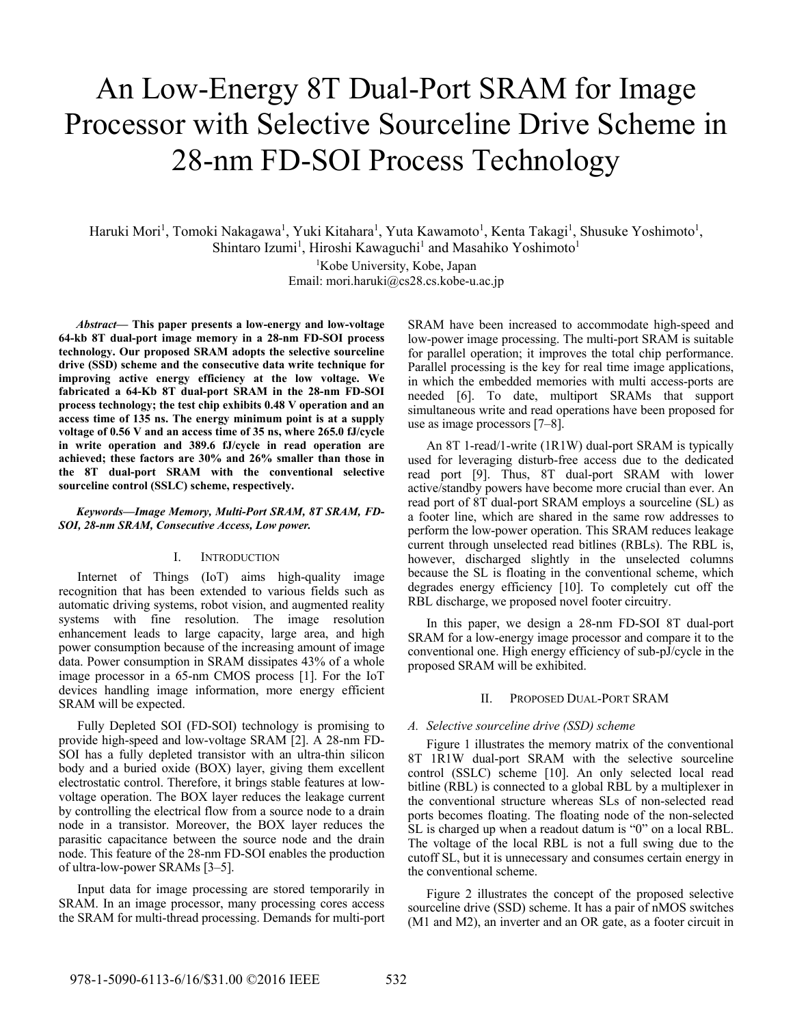# An Low-Energy 8T Dual-Port SRAM for Image Processor with Selective Sourceline Drive Scheme in 28-nm FD-SOI Process Technology

Haruki Mori<sup>1</sup>, Tomoki Nakagawa<sup>1</sup>, Yuki Kitahara<sup>1</sup>, Yuta Kawamoto<sup>1</sup>, Kenta Takagi<sup>1</sup>, Shusuke Yoshimoto<sup>1</sup>, Shintaro Izumi<sup>1</sup>, Hiroshi Kawaguchi<sup>1</sup> and Masahiko Yoshimoto<sup>1</sup>

> <sup>1</sup>Kobe University, Kobe, Japan Email: mori.haruki@cs28.cs.kobe-u.ac.jp

*Abstract***— This paper presents a low-energy and low-voltage 64-kb 8T dual-port image memory in a 28-nm FD-SOI process technology. Our proposed SRAM adopts the selective sourceline drive (SSD) scheme and the consecutive data write technique for improving active energy efficiency at the low voltage. We fabricated a 64-Kb 8T dual-port SRAM in the 28-nm FD-SOI process technology; the test chip exhibits 0.48 V operation and an access time of 135 ns. The energy minimum point is at a supply voltage of 0.56 V and an access time of 35 ns, where 265.0 fJ/cycle in write operation and 389.6 fJ/cycle in read operation are achieved; these factors are 30% and 26% smaller than those in the 8T dual-port SRAM with the conventional selective sourceline control (SSLC) scheme, respectively.** 

# *Keywords—Image Memory, Multi-Port SRAM, 8T SRAM, FD-SOI, 28-nm SRAM, Consecutive Access, Low power.*

# I. INTRODUCTION

Internet of Things (IoT) aims high-quality image recognition that has been extended to various fields such as automatic driving systems, robot vision, and augmented reality systems with fine resolution. The image resolution enhancement leads to large capacity, large area, and high power consumption because of the increasing amount of image data. Power consumption in SRAM dissipates 43% of a whole image processor in a 65-nm CMOS process [1]. For the IoT devices handling image information, more energy efficient SRAM will be expected.

Fully Depleted SOI (FD-SOI) technology is promising to provide high-speed and low-voltage SRAM [2]. A 28-nm FD-SOI has a fully depleted transistor with an ultra-thin silicon body and a buried oxide (BOX) layer, giving them excellent electrostatic control. Therefore, it brings stable features at lowvoltage operation. The BOX layer reduces the leakage current by controlling the electrical flow from a source node to a drain node in a transistor. Moreover, the BOX layer reduces the parasitic capacitance between the source node and the drain node. This feature of the 28-nm FD-SOI enables the production of ultra-low-power SRAMs [3–5].

Input data for image processing are stored temporarily in SRAM. In an image processor, many processing cores access the SRAM for multi-thread processing. Demands for multi-port SRAM have been increased to accommodate high-speed and low-power image processing. The multi-port SRAM is suitable for parallel operation; it improves the total chip performance. Parallel processing is the key for real time image applications, in which the embedded memories with multi access-ports are needed [6]. To date, multiport SRAMs that support simultaneous write and read operations have been proposed for use as image processors [7–8].

An 8T 1-read/1-write (1R1W) dual-port SRAM is typically used for leveraging disturb-free access due to the dedicated read port [9]. Thus, 8T dual-port SRAM with lower active/standby powers have become more crucial than ever. An read port of 8T dual-port SRAM employs a sourceline (SL) as a footer line, which are shared in the same row addresses to perform the low-power operation. This SRAM reduces leakage current through unselected read bitlines (RBLs). The RBL is, however, discharged slightly in the unselected columns because the SL is floating in the conventional scheme, which degrades energy efficiency [10]. To completely cut off the RBL discharge, we proposed novel footer circuitry.

In this paper, we design a 28-nm FD-SOI 8T dual-port SRAM for a low-energy image processor and compare it to the conventional one. High energy efficiency of sub-pJ/cycle in the proposed SRAM will be exhibited.

# II. PROPOSED DUAL-PORT SRAM

# *A. Selective sourceline drive (SSD) scheme*

Figure 1 illustrates the memory matrix of the conventional 8T 1R1W dual-port SRAM with the selective sourceline control (SSLC) scheme [10]. An only selected local read bitline (RBL) is connected to a global RBL by a multiplexer in the conventional structure whereas SLs of non-selected read ports becomes floating. The floating node of the non-selected SL is charged up when a readout datum is "0" on a local RBL. The voltage of the local RBL is not a full swing due to the cutoff SL, but it is unnecessary and consumes certain energy in the conventional scheme.

Figure 2 illustrates the concept of the proposed selective sourceline drive (SSD) scheme. It has a pair of nMOS switches (M1 and M2), an inverter and an OR gate, as a footer circuit in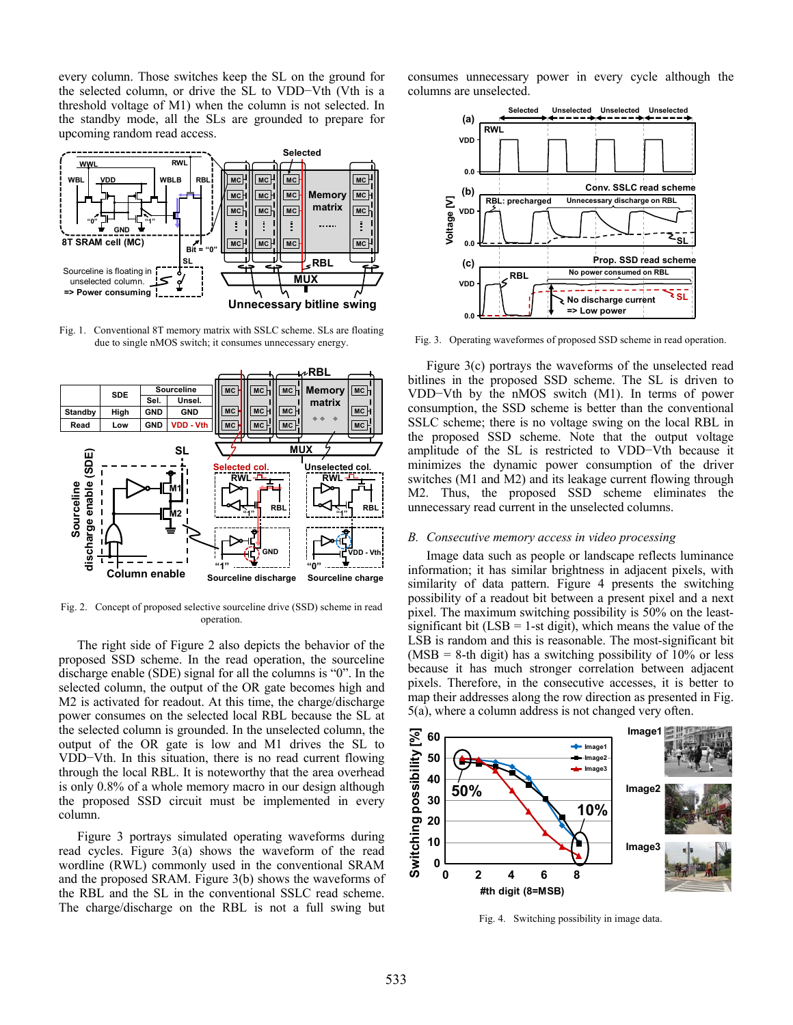every column. Those switches keep the SL on the ground for the selected column, or drive the SL to VDD−Vth (Vth is a threshold voltage of M1) when the column is not selected. In the standby mode, all the SLs are grounded to prepare for upcoming random read access.



Fig. 1. Conventional 8T memory matrix with SSLC scheme. SLs are floating due to single nMOS switch; it consumes unnecessary energy.



Fig. 2. Concept of proposed selective sourceline drive (SSD) scheme in read operation.

The right side of Figure 2 also depicts the behavior of the proposed SSD scheme. In the read operation, the sourceline discharge enable (SDE) signal for all the columns is "0". In the selected column, the output of the OR gate becomes high and M2 is activated for readout. At this time, the charge/discharge power consumes on the selected local RBL because the SL at the selected column is grounded. In the unselected column, the output of the OR gate is low and M1 drives the SL to VDD−Vth. In this situation, there is no read current flowing through the local RBL. It is noteworthy that the area overhead is only 0.8% of a whole memory macro in our design although the proposed SSD circuit must be implemented in every column.

Figure 3 portrays simulated operating waveforms during read cycles. Figure 3(a) shows the waveform of the read wordline (RWL) commonly used in the conventional SRAM and the proposed SRAM. Figure 3(b) shows the waveforms of the RBL and the SL in the conventional SSLC read scheme. The charge/discharge on the RBL is not a full swing but

consumes unnecessary power in every cycle although the columns are unselected.



Fig. 3. Operating waveformes of proposed SSD scheme in read operation.

Figure 3(c) portrays the waveforms of the unselected read bitlines in the proposed SSD scheme. The SL is driven to VDD−Vth by the nMOS switch (M1). In terms of power consumption, the SSD scheme is better than the conventional SSLC scheme; there is no voltage swing on the local RBL in the proposed SSD scheme. Note that the output voltage amplitude of the SL is restricted to VDD−Vth because it minimizes the dynamic power consumption of the driver switches (M1 and M2) and its leakage current flowing through M2. Thus, the proposed SSD scheme eliminates the unnecessary read current in the unselected columns.

#### *B. Consecutive memory access in video processing*

Image data such as people or landscape reflects luminance information; it has similar brightness in adjacent pixels, with similarity of data pattern. Figure 4 presents the switching possibility of a readout bit between a present pixel and a next pixel. The maximum switching possibility is 50% on the leastsignificant bit  $(LSB = 1-st$  digit), which means the value of the LSB is random and this is reasonable. The most-significant bit  $(MSB = 8-th$  digit) has a switching possibility of 10% or less because it has much stronger correlation between adjacent pixels. Therefore, in the consecutive accesses, it is better to map their addresses along the row direction as presented in Fig. 5(a), where a column address is not changed very often. **g**



Fig. 4. Switching possibility in image data.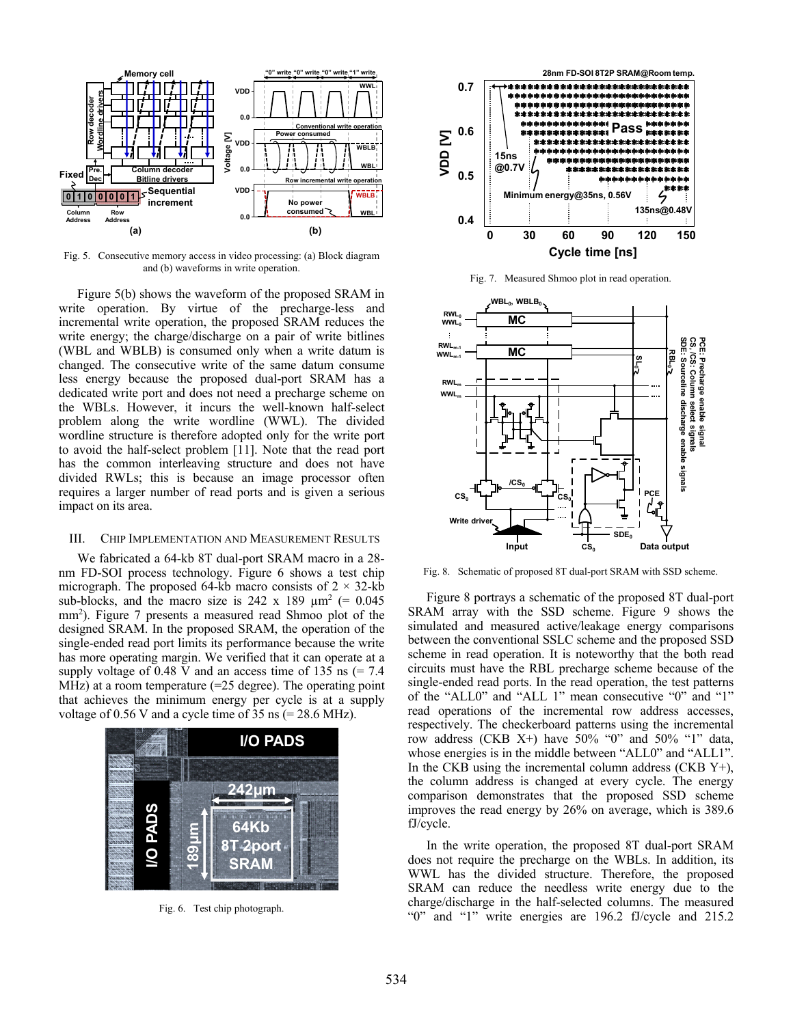

Fig. 5. Consecutive memory access in video processing: (a) Block diagram and (b) waveforms in write operation.

Figure 5(b) shows the waveform of the proposed SRAM in write operation. By virtue of the precharge-less and incremental write operation, the proposed SRAM reduces the write energy; the charge/discharge on a pair of write bitlines (WBL and WBLB) is consumed only when a write datum is changed. The consecutive write of the same datum consume less energy because the proposed dual-port SRAM has a dedicated write port and does not need a precharge scheme on the WBLs. However, it incurs the well-known half-select problem along the write wordline (WWL). The divided wordline structure is therefore adopted only for the write port to avoid the half-select problem [11]. Note that the read port has the common interleaving structure and does not have divided RWLs; this is because an image processor often requires a larger number of read ports and is given a serious impact on its area.

# III. CHIP IMPLEMENTATION AND MEASUREMENT RESULTS

We fabricated a 64-kb 8T dual-port SRAM macro in a 28 nm FD-SOI process technology. Figure 6 shows a test chip micrograph. The proposed 64-kb macro consists of  $2 \times 32$ -kb sub-blocks, and the macro size is 242 x 189  $\mu$ m<sup>2</sup> (= 0.045) mm2 ). Figure 7 presents a measured read Shmoo plot of the designed SRAM. In the proposed SRAM, the operation of the single-ended read port limits its performance because the write has more operating margin. We verified that it can operate at a supply voltage of 0.48 V and an access time of 135 ns  $(= 7.4)$ MHz) at a room temperature  $(=25 \text{ degree})$ . The operating point that achieves the minimum energy per cycle is at a supply voltage of  $0.56$  V and a cycle time of  $35$  ns (=  $28.6$  MHz).



Fig. 6. Test chip photograph.



Fig. 7. Measured Shmoo plot in read operation.



Fig. 8. Schematic of proposed 8T dual-port SRAM with SSD scheme.

Figure 8 portrays a schematic of the proposed 8T dual-port SRAM array with the SSD scheme. Figure 9 shows the simulated and measured active/leakage energy comparisons between the conventional SSLC scheme and the proposed SSD scheme in read operation. It is noteworthy that the both read circuits must have the RBL precharge scheme because of the single-ended read ports. In the read operation, the test patterns of the "ALL0" and "ALL 1" mean consecutive "0" and "1" read operations of the incremental row address accesses, respectively. The checkerboard patterns using the incremental row address (CKB X+) have 50% "0" and 50% "1" data, whose energies is in the middle between "ALL0" and "ALL1". In the CKB using the incremental column address (CKB  $Y^+$ ), the column address is changed at every cycle. The energy comparison demonstrates that the proposed SSD scheme improves the read energy by 26% on average, which is 389.6 fJ/cycle.

In the write operation, the proposed 8T dual-port SRAM does not require the precharge on the WBLs. In addition, its WWL has the divided structure. Therefore, the proposed SRAM can reduce the needless write energy due to the charge/discharge in the half-selected columns. The measured "0" and "1" write energies are 196.2 fJ/cycle and 215.2